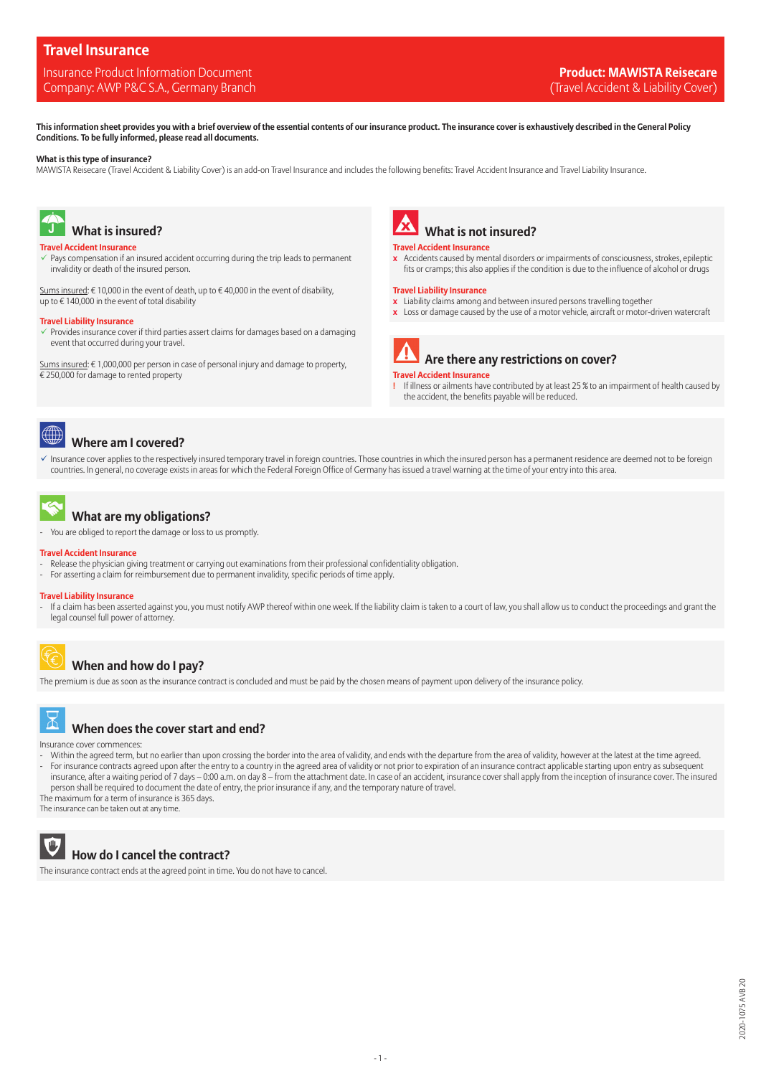# **Travel Insurance**

### Insurance Product Information Document **Product: MAWISTA Reisecare** Company: AWP P&C S.A., Germany Branch (Travel Accident & Liability Cover) and the Cover (Travel Accident & Liability Cover)

**This information sheet provides you with a brief overview of the essential contents of our insurance product. The insurance cover is exhaustively described in the General Policy Conditions. To be fully informed, please read all documents.**

#### **What is this type of insurance?**

MAWISTA Reisecare (Travel Accident & Liability Cover) is an add-on Travel Insurance and includes the following benefits: Travel Accident Insurance and Travel Liability Insurance.



## **What is insured?**

### **Travel Accident Insurance**

Pays compensation if an insured accident occurring during the trip leads to permanent invalidity or death of the insured person.

Sums insured: € 10,000 in the event of death, up to € 40,000 in the event of disability, up to  $\epsilon$  140,000 in the event of total disability

#### **Travel Liability Insurance**

✓ Provides insurance cover if third parties assert claims for damages based on a damaging event that occurred during your travel.

Sums insured: € 1,000,000 per person in case of personal injury and damage to property, € 250,000 for damage to rented property



#### **Travel Accident Insurance**

 **x** Accidents caused by mental disorders or impairments of consciousness, strokes, epileptic fits or cramps; this also applies if the condition is due to the influence of alcohol or drugs

#### **Travel Liability Insurance**

- **x** Liability claims among and between insured persons travelling together
- **x** Loss or damage caused by the use of a motor vehicle, aircraft or motor-driven watercraft



### **Travel Accident Insurance**

**!** If illness or ailments have contributed by at least 25 % to an impairment of health caused by the accident, the benefits payable will be reduced.



# **Where am I covered?**

✓ Insurance cover applies to the respectively insured temporary travel in foreign countries. Those countries in which the insured person has a permanent residence are deemed not to be foreign countries. In general, no coverage exists in areas for which the Federal Foreign Office of Germany has issued a travel warning at the time of your entry into this area.



# **What are my obligations?**

You are obliged to report the damage or loss to us promptly.

#### **Travel Accident Insurance**

- Release the physician giving treatment or carrying out examinations from their professional confidentiality obligation.
- For asserting a claim for reimbursement due to permanent invalidity, specific periods of time apply.

#### **Travel Liability Insurance**

If a claim has been asserted against you, you must notify AWP thereof within one week. If the liability claim is taken to a court of law, you shall allow us to conduct the proceedings and grant the legal counsel full power of attorney.

# **When and how do I pay?**

The premium is due as soon as the insurance contract is concluded and must be paid by the chosen means of payment upon delivery of the insurance policy.



### **When does the cover start and end?**

Insurance cover commences:

- Within the agreed term, but no earlier than upon crossing the border into the area of validity, and ends with the departure from the area of validity, however at the latest at the time agreed. For insurance contracts agreed upon after the entry to a country in the agreed area of validity or not prior to expiration of an insurance contract applicable starting upon entry as subsequent insurance, after a waiting period of 7 days – 0:00 a.m. on day 8 – from the attachment date. In case of an accident, insurance cover shall apply from the inception of insurance cover. The insured person shall be required to document the date of entry, the prior insurance if any, and the temporary nature of travel.

The maximum for a term of insurance is 365 days.

The insurance can be taken out at any time.



 **How do I cancel the contract?**

The insurance contract ends at the agreed point in time. You do not have to cancel.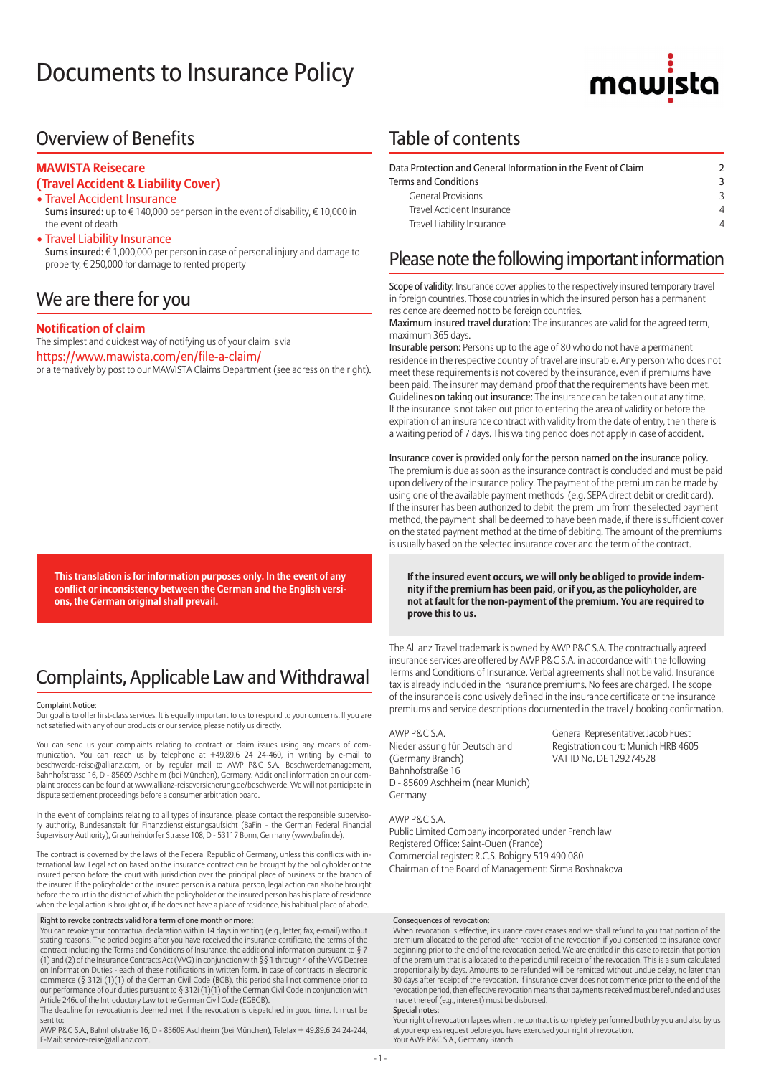# Documents to Insurance Policy



# Overview of Benefits

### **MAWISTA Reisecare**

### **(Travel Accident & Liability Cover)**

- Travel Accident Insurance Sums insured: up to € 140,000 per person in the event of disability, € 10,000 in the event of death
- Travel Liability Insurance

 Sums insured: € 1,000,000 per person in case of personal injury and damage to property, € 250,000 for damage to rented property

# We are there for you

### **Notification of claim**

The simplest and quickest way of notifying us of your claim is via https://www.mawista.com/en/file-a-claim/ or alternatively by post to our MAWISTA Claims Department (see adress on the right).

**This translation is for information purposes only. In the event of any conflict or inconsistency between the German and the English versions, the German original shall prevail.**

# Complaints, Applicable Law and Withdrawal

#### Complaint Notice:

Our goal is to offer first-class services. It is equally important to us to respond to your concerns. If you are not satisfied with any of our products or our service, please notify us directly.

You can send us your complaints relating to contract or claim issues using any means of communication. You can reach us by telephone at +49.89.6 24 24-460, in writing by e-mail to beschwerde-reise@allianz.com, or by regular mail to AWP P&C S.A., Beschwerdemanagement, Bahnhofstrasse 16, D - 85609 Aschheim (bei München), Germany. Additional information on our complaint process can be found at www.allianz-reiseversicherung.de/beschwerde. We will not participate in dispute settlement proceedings before a consumer arbitration board.

In the event of complaints relating to all types of insurance, please contact the responsible superviso-ry authority, Bundesanstalt für Finanzdienstleistungsaufsicht (BaFin - the German Federal Financial Supervisory Authority), Graurheindorfer Strasse 108, D - 53117 Bonn, Germany (www.bafin.de).

The contract is governed by the laws of the Federal Republic of Germany, unless this conflicts with international law. Legal action based on the insurance contract can be brought by the policyholder or the insured person before the court with jurisdiction over the principal place of business or the branch of the insurer. If the policyholder or the insured person is a natural person, legal action can also be brought before the court in the district of which the policyholder or the insured person has his place of residence when the legal action is brought or, if he does not have a place of residence, his habitual place of abode.

#### Right to revoke contracts valid for a term of one month or more:

You can revoke your contractual declaration within 14 days in writing (e.g., letter, fax, e-mail) without stating reasons. The period begins after you have received the insurance certificate, the terms of the contract including the Terms and Conditions of Insurance, the additional information pursuant to § 7 (1) and (2) of the Insurance Contracts Act (VVG) in conjunction with §§ 1 through 4 of the VVG Decree on Information Duties - each of these notifications in written form. In case of contracts in electronic<br>commerce (§ 312i (1)(1) of the German Civil Code (BGB), this period shall not commence prior to<br>our performance of our Article 246c of the Introductory Law to the German Civil Code (EGBGB).

The deadline for revocation is deemed met if the revocation is dispatched in good time. It must be sent to:

AWP P&C S.A., Bahnhofstraße 16, D - 85609 Aschheim (bei München), Telefax + 49.89.6 24 24-244, E-Mail: service-reise@allianz.com.

# Table of contents

| Data Protection and General Information in the Event of Claim |  |  |  |  |  |
|---------------------------------------------------------------|--|--|--|--|--|
| <b>Terms and Conditions</b>                                   |  |  |  |  |  |
| <b>General Provisions</b>                                     |  |  |  |  |  |
| Travel Accident Insurance                                     |  |  |  |  |  |
| Travel Liability Insurance                                    |  |  |  |  |  |

# Please note the following important information

Scope of validity: Insurance cover applies to the respectively insured temporary travel in foreign countries. Those countries in which the insured person has a permanent residence are deemed not to be foreign countries.

Maximum insured travel duration: The insurances are valid for the agreed term, maximum 365 days.

Insurable person: Persons up to the age of 80 who do not have a permanent residence in the respective country of travel are insurable. Any person who does not meet these requirements is not covered by the insurance, even if premiums have been paid. The insurer may demand proof that the requirements have been met. Guidelines on taking out insurance: The insurance can be taken out at any time. If the insurance is not taken out prior to entering the area of validity or before the expiration of an insurance contract with validity from the date of entry, then there is a waiting period of 7 days. This waiting period does not apply in case of accident.

Insurance cover is provided only for the person named on the insurance policy. The premium is due as soon as the insurance contract is concluded and must be paid upon delivery of the insurance policy. The payment of the premium can be made by using one of the available payment methods (e.g. SEPA direct debit or credit card). If the insurer has been authorized to debit the premium from the selected payment method, the payment shall be deemed to have been made, if there is sufficient cover on the stated payment method at the time of debiting. The amount of the premiums is usually based on the selected insurance cover and the term of the contract.

**If the insured event occurs, we will only be obliged to provide indemnity if the premium has been paid, or if you, as the policyholder, are not at fault for the non-payment of the premium. You are required to prove this to us.**

The Allianz Travel trademark is owned by AWP P&C S.A. The contractually agreed insurance services are offered by AWP P&C S.A. in accordance with the following Terms and Conditions of Insurance. Verbal agreements shall not be valid. Insurance tax is already included in the insurance premiums. No fees are charged. The scope of the insurance is conclusively defined in the insurance certificate or the insurance premiums and service descriptions documented in the travel / booking confirmation.

AWP P&C S.A. General Representative: Jacob Fuest Niederlassung für Deutschland Registration court: Munich HRB 4605<br>
(Germany Branch) VAT ID No. DE 129274528 Bahnhofstraße 16 D - 85609 Aschheim (near Munich) Germany

VAT ID No. DE 129274528

AWP P&C S.A. Public Limited Company incorporated under French law Registered Office: Saint-Ouen (France) Commercial register: R.C.S. Bobigny 519 490 080 Chairman of the Board of Management: Sirma Boshnakova

#### Consequences of revocation:

When revocation is effective, insurance cover ceases and we shall refund to you that portion of the premium allocated to the period after receipt of the revocation if you consented to insurance cover beginning prior to the end of the revocation period. We are entitled in this case to retain that portion of the premium that is allocated to the period until receipt of the revocation. This is a sum calculated proportionally by days. Amounts to be refunded will be remitted without undue delay, no later than 30 days after receipt of the revocation. If insurance cover does not commence prior to the end of the revocation period, then effective revocation means that payments received must be refunded and uses made thereof (e.g., interest) must be disbursed. Special notes:

Your right of revocation lapses when the contract is completely performed both by you and also by us at your express request before you have exercised your right of revocation. Your AWP P&C S.A., Germany Branch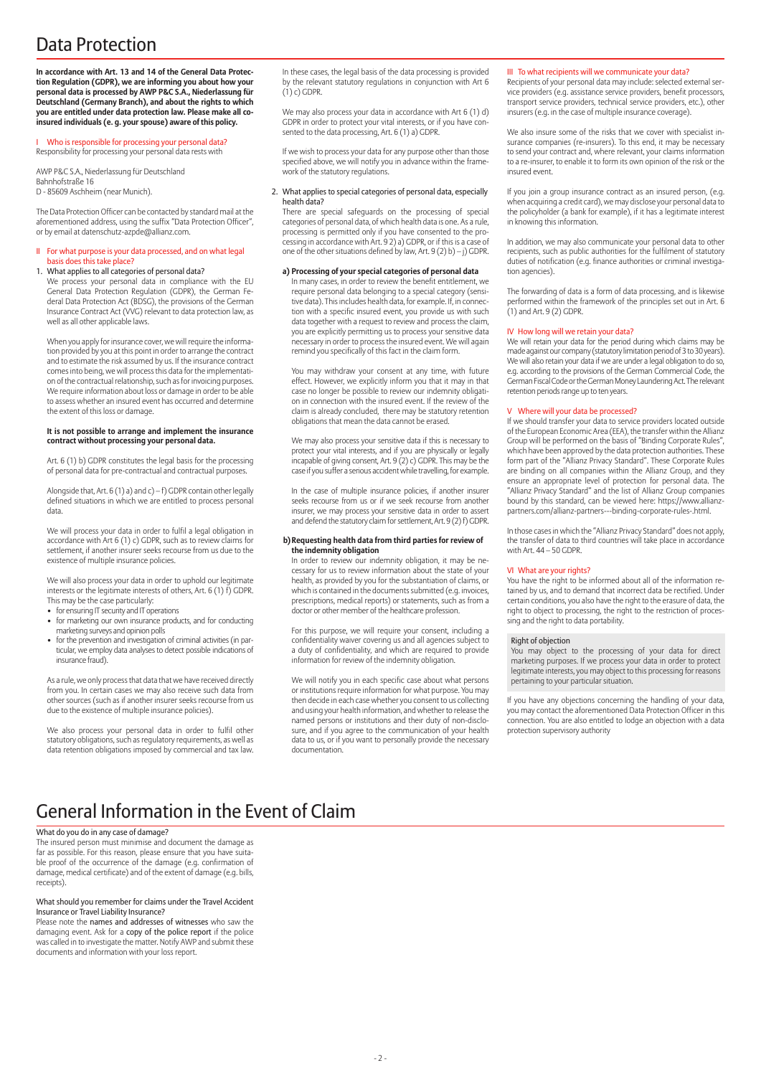# Data Protection

**In accordance with Art. 13 and 14 of the General Data Protection Regulation (GDPR), we are informing you about how your personal data is processed by AWP P&C S.A., Niederlassung für Deutschland (Germany Branch), and about the rights to which you are entitled under data protection law. Please make all coinsured individuals (e. g. your spouse) aware of this policy.**

I Who is responsible for processing your personal data? Responsibility for processing your personal data rests with

AWP P&C S.A., Niederlassung für Deutschland Bahnhofstraße 16 D - 85609 Aschheim (near Munich).

well as all other applicable laws.

The Data Protection Officer can be contacted by standard mail at the aforementioned address, using the suffix "Data Protection Officer", or by email at datenschutz-azpde@allianz.com.

#### II For what purpose is your data processed, and on what legal basis does this take place?

1. What applies to all categories of personal data? We process your personal data in compliance with the EU General Data Protection Regulation (GDPR), the German Federal Data Protection Act (BDSG), the provisions of the German Insurance Contract Act (VVG) relevant to data protection law, as

When you apply for insurance cover, we will require the information provided by you at this point in order to arrange the contract and to estimate the risk assumed by us. If the insurance contract comes into being, we will process this data for the implementation of the contractual relationship, such as for invoicing purposes. We require information about loss or damage in order to be able to assess whether an insured event has occurred and determine the extent of this loss or damage.

#### **It is not possible to arrange and implement the insurance contract without processing your personal data.**

Art. 6 (1) b) GDPR constitutes the legal basis for the processing of personal data for pre-contractual and contractual purposes.

Alongside that, Art. 6 (1) a) and c) – f) GDPR contain other legally defined situations in which we are entitled to process personal data.

We will process your data in order to fulfil a legal obligation in accordance with Art 6 (1) c) GDPR, such as to review claims for settlement, if another insurer seeks recourse from us due to the existence of multiple insurance policies.

We will also process your data in order to uphold our legitimate interests or the legitimate interests of others, Art. 6 (1) f) GDPR.

- This may be the case particularly: for ensuring IT security and IT operations
- for marketing our own insurance products, and for conducting marketing surveys and opinion polls
- for the prevention and investigation of criminal activities (in particular, we employ data analyses to detect possible indications of insurance fraud).

As a rule, we only process that data that we have received directly from you. In certain cases we may also receive such data from other sources (such as if another insurer seeks recourse from us due to the existence of multiple insurance policies).

We also process your personal data in order to fulfil other statutory obligations, such as regulatory requirements, as well as data retention obligations imposed by commercial and tax law. In these cases, the legal basis of the data processing is provided by the relevant statutory regulations in conjunction with Art 6  $(1)$  c) GDPR.

We may also process your data in accordance with Art 6 (1) d) GDPR in order to protect your vital interests, or if you have consented to the data processing, Art. 6 (1) a) GDPR.

If we wish to process your data for any purpose other than those specified above, we will notify you in advance within the framework of the statutory regulations.

#### 2. What applies to special categories of personal data, especially health data?

There are special safeguards on the processing of special categories of personal data, of which health data is one. As a rule, processing is permitted only if you have consented to the pro-cessing in accordance with Art. 9 2) a) GDPR, or if this is a case of one of the other situations defined by law, Art. 9 (2) b) – j) GDPR.

#### **a) Processing of your special categories of personal data**

In many cases, in order to review the benefit entitlement, we require personal data belonging to a special category (sensitive data). This includes health data, for example. If, in connection with a specific insured event, you provide us with such data together with a request to review and process the claim, you are explicitly permitting us to process your sensitive data necessary in order to process the insured event. We will again remind you specifically of this fact in the claim form.

You may withdraw your consent at any time, with future effect. However, we explicitly inform you that it may in that case no longer be possible to review our indemnity obligation in connection with the insured event. If the review of the claim is already concluded, there may be statutory retention obligations that mean the data cannot be erased.

We may also process your sensitive data if this is necessary to protect your vital interests, and if you are physically or legally incapable of giving consent, Art. 9 (2) c) GDPR. This may be the case if you suffer a serious accident while travelling, for example.

In the case of multiple insurance policies, if another insurer seeks recourse from us or if we seek recourse from another insurer, we may process your sensitive data in order to assert and defend the statutory claim for settlement, Art. 9 (2) f) GDPR.

#### **b) Requesting health data from third parties for review of the indemnity obligation**

In order to review our indemnity obligation, it may be necessary for us to review information about the state of your health, as provided by you for the substantiation of claims, or which is contained in the documents submitted (e.g. invoices, prescriptions, medical reports) or statements, such as from a doctor or other member of the healthcare profession.

For this purpose, we will require your consent, including a confidentiality waiver covering us and all agencies subject to a duty of confidentiality, and which are required to provide information for review of the indemnity obligation.

We will notify you in each specific case about what persons or institutions require information for what purpose. You may then decide in each case whether you consent to us collecting and using your health information, and whether to release the named persons or institutions and their duty of non-disclosure, and if you agree to the communication of your health data to us, or if you want to personally provide the necessary documentation.

#### III To what recipients will we communicate your data?

Recipients of your personal data may include: selected external service providers (e.g. assistance service providers, benefit processors, transport service providers, technical service providers, etc.), other insurers (e.g. in the case of multiple insurance coverage).

We also insure some of the risks that we cover with specialist insurance companies (re-insurers). To this end, it may be necessary to send your contract and, where relevant, your claims information to a re-insurer, to enable it to form its own opinion of the risk or the insured event.

If you join a group insurance contract as an insured person, (e.g. when acquiring a credit card), we may disclose your personal data to the policyholder (a bank for example), if it has a legitimate interest in knowing this information.

In addition, we may also communicate your personal data to other recipients, such as public authorities for the fulfilment of statutory duties of notification (e.g. finance authorities or criminal investigation agencies).

The forwarding of data is a form of data processing, and is likewise performed within the framework of the principles set out in Art. 6 (1) and Art. 9 (2) GDPR.

#### IV How long will we retain your data?

We will retain your data for the period during which claims may be made against our company (statutory limitation period of 3 to 30 years). We will also retain your data if we are under a legal obligation to do so, e.g. according to the provisions of the German Commercial Code, the German Fiscal Code or the German Money Laundering Act. The relevant retention periods range up to ten years.

#### V Where will your data be processed?

If we should transfer your data to service providers located outside of the European Economic Area (EEA), the transfer within the Allianz Group will be performed on the basis of "Binding Corporate Rules", which have been approved by the data protection authorities. These form part of the "Allianz Privacy Standard". These Corporate Rules are binding on all companies within the Allianz Group, and they ensure an appropriate level of protection for personal data. The "Allianz Privacy Standard" and the list of Allianz Group companies bound by this standard, can be viewed here: https://www.allianzpartners.com/allianz-partners---binding-corporate-rules-.html.

In those cases in which the "Allianz Privacy Standard" does not apply, the transfer of data to third countries will take place in accordance with Art. 44 – 50 GDPR.

#### VI What are your rights?

You have the right to be informed about all of the information retained by us, and to demand that incorrect data be rectified. Under certain conditions, you also have the right to the erasure of data, the right to object to processing, the right to the restriction of processing and the right to data portability.

#### Right of objection

You may object to the processing of your data for direct marketing purposes. If we process your data in order to protect legitimate interests, you may object to this processing for reasons pertaining to your particular situation.

If you have any objections concerning the handling of your data, you may contact the aforementioned Data Protection Officer in this connection. You are also entitled to lodge an objection with a data protection supervisory authority

# General Information in the Event of Claim

#### What do you do in any case of damage?

The insured person must minimise and document the damage as far as possible. For this reason, please ensure that you have suitable proof of the occurrence of the damage (e.g. confirmation of damage, medical certificate) and of the extent of damage (e.g. bills, receipts).

#### What should you remember for claims under the Travel Accident Insurance or Travel Liability Insurance?

Please note the names and addresses of witnesses who saw the damaging event. Ask for a copy of the police report if the police was called in to investigate the matter. Notify AWP and submit these documents and information with your loss report.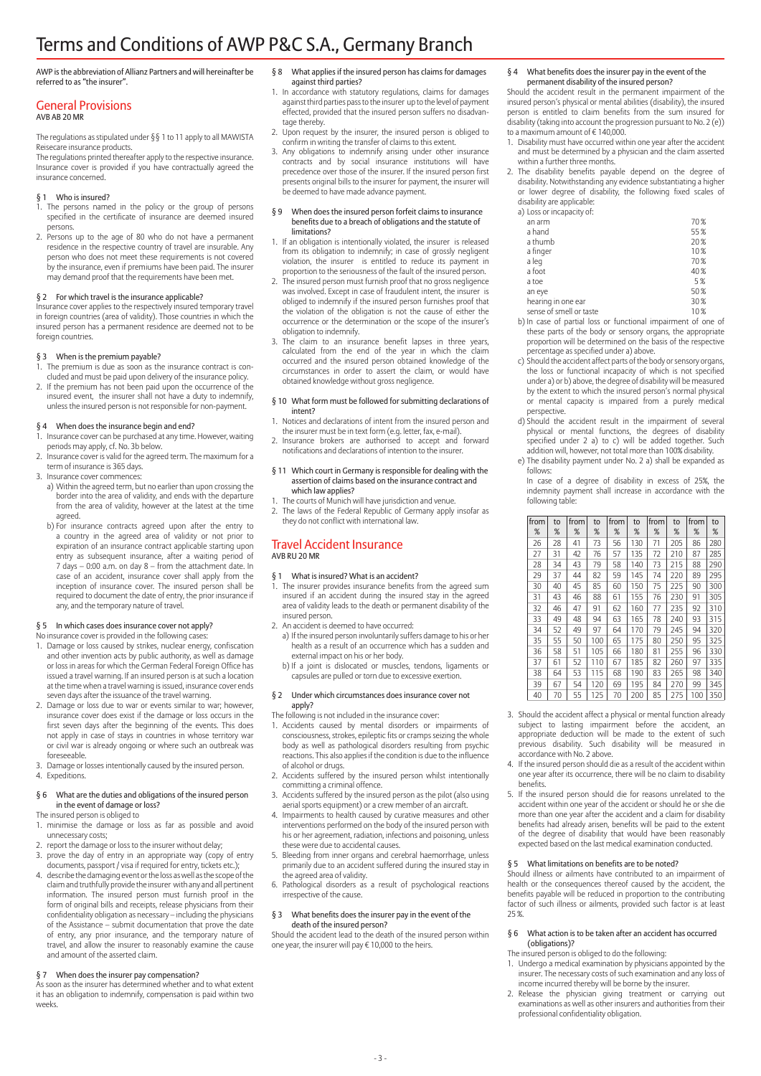# Terms and Conditions of AWP P&C S.A., Germany Branch

AWP is the abbreviation of Allianz Partners and will hereinafter be referred to as "the insurer".

#### General Provisions AVB AB 20 MR

The regulations as stipulated under §§ 1 to 11 apply to all MAWISTA Reisecare insurance products.

The regulations printed thereafter apply to the respective insurance. Insurance cover is provided if you have contractually agreed the insurance concerned.

#### Who is insured?

- 1. The persons named in the policy or the group of persons specified in the certificate of insurance are deemed insured persons.
- 2. Persons up to the age of 80 who do not have a permanent residence in the respective country of travel are insurable. Any person who does not meet these requirements is not covered by the insurance, even if premiums have been paid. The insurer may demand proof that the requirements have been met.

#### § 2 For which travel is the insurance applicable?

Insurance cover applies to the respectively insured temporary travel in foreign countries (area of validity). Those countries in which the insured person has a permanent residence are deemed not to be foreign countries.

#### § 3 When is the premium payable?

1. The premium is due as soon as the insurance contract is concluded and must be paid upon delivery of the insurance policy.

2. If the premium has not been paid upon the occurrence of the insured event, the insurer shall not have a duty to indemnify, unless the insured person is not responsible for non-payment.

### § 4 When does the insurance begin and end?

- Insurance cover can be purchased at any time. However, waiting
- periods may apply, cf. No. 3b below. 2. Insurance cover is valid for the agreed term. The maximum for a term of insurance is 365 days.
- 3. Insurance cover commences:
	- a) Within the agreed term, but no earlier than upon crossing the border into the area of validity, and ends with the departure from the area of validity, however at the latest at the time agreed.
	- b) For insurance contracts agreed upon after the entry to a country in the agreed area of validity or not prior to expiration of an insurance contract applicable starting upon entry as subsequent insurance, after a waiting period of 7 days – 0:00 a.m. on day 8 – from the attachment date. In case of an accident, insurance cover shall apply from the inception of insurance cover. The insured person shall be required to document the date of entry, the prior insurance if any, and the temporary nature of travel.

#### § 5 In which cases does insurance cover not apply?

No insurance cover is provided in the following cases:

- 1. Damage or loss caused by strikes, nuclear energy, confiscation and other invention acts by public authority, as well as damage or loss in areas for which the German Federal Foreign Office has issued a travel warning. If an insured person is at such a location at the time when a travel warning is issued, insurance cover ends seven days after the issuance of the travel warning.
- 2. Damage or loss due to war or events similar to war; however, insurance cover does exist if the damage or loss occurs in the first seven days after the beginning of the events. This does not apply in case of stays in countries in whose territory war or civil war is already ongoing or where such an outbreak was foreseeable.
- 3. Damage or losses intentionally caused by the insured person. 4. Expeditions.

#### § 6 What are the duties and obligations of the insured person in the event of damage or loss?

- The insured person is obliged to
- 1. minimise the damage or loss as far as possible and avoid unnecessary costs;
- 2. report the damage or loss to the insurer without delay;
- 3. prove the day of entry in an appropriate way (copy of entry documents, passport / visa if required for entry, tickets etc.);
- 4. describe the damaging event or the loss as well as the scope of the claim and truthfully provide the insurer with any and all pertinent information. The insured person must furnish proof in the form of original bills and receipts, release physicians from their confidentiality obligation as necessary – including the physicians of the Assistance – submit documentation that prove the date of entry, any prior insurance, and the temporary nature of travel, and allow the insurer to reasonably examine the cause and amount of the asserted claim.

#### § 7 When does the insurer pay compensation?

As soon as the insurer has determined whether and to what extent it has an obligation to indemnify, compensation is paid within two weeks.

- § 8 What applies if the insured person has claims for damages against third parties?
- 1. In accordance with statutory regulations, claims for damages against third parties pass to the insurer up to the level of payment effected, provided that the insured person suffers no disadvantage thereby.
- 2. Upon request by the insurer, the insured person is obliged to confirm in writing the transfer of claims to this extent.
- 3. Any obligations to indemnify arising under other insurance contracts and by social insurance institutions will have precedence over those of the insurer. If the insured person first presents original bills to the insurer for payment, the insurer will be deemed to have made advance payment.

#### § 9 When does the insured person forfeit claims to insurance benefits due to a breach of obligations and the statute of limitations?

- 1. If an obligation is intentionally violated, the insurer is released from its obligation to indemnify; in case of grossly negligent violation, the insurer is entitled to reduce its payment in proportion to the seriousness of the fault of the insured person.
- 2. The insured person must furnish proof that no gross negligence was involved. Except in case of fraudulent intent, the insurer is obliged to indemnify if the insured person furnishes proof that the violation of the obligation is not the cause of either the occurrence or the determination or the scope of the insurer's obligation to indemnify.
- 3. The claim to an insurance benefit lapses in three years, calculated from the end of the year in which the claim occurred and the insured person obtained knowledge of the circumstances in order to assert the claim, or would have obtained knowledge without gross negligence.

#### § 10 What form must be followed for submitting declarations of intent?

- 1. Notices and declarations of intent from the insured person and the insurer must be in text form (e.g. letter, fax, e-mail).
- 2. Insurance brokers are authorised to accept and forward notifications and declarations of intention to the insurer.

#### § 11 Which court in Germany is responsible for dealing with the assertion of claims based on the insurance contract and which law applies?

- 1. The courts of Munich will have jurisdiction and venue. 2. The laws of the Federal Republic of Germany apply insofar as
- they do not conflict with international law.

#### Travel Accident Insurance AVB RU 20 MR

### § 1 What is insured? What is an accident?

- 1. The insurer provides insurance benefits from the agreed sum insured if an accident during the insured stay in the agreed area of validity leads to the death or permanent disability of the insured person.
- 2. An accident is deemed to have occurred:
	- a) If the insured person involuntarily suffers damage to his or her health as a result of an occurrence which has a sudden and external impact on his or her body.
	- b) If a joint is dislocated or muscles, tendons, ligaments or capsules are pulled or torn due to excessive exertion.

#### § 2 Under which circumstances does insurance cover not apply?

- The following is not included in the insurance cover:
- 1. Accidents caused by mental disorders or impairments of consciousness, strokes, epileptic fits or cramps seizing the whole body as well as pathological disorders resulting from psychic reactions. This also applies if the condition is due to the influence of alcohol or drugs.
- 2. Accidents suffered by the insured person whilst intentionally committing a criminal offence.
- 3. Accidents suffered by the insured person as the pilot (also using aerial sports equipment) or a crew member of an aircraft.
- 4. Impairments to health caused by curative measures and other interventions performed on the body of the insured person with his or her agreement, radiation, infections and poisoning, unless these were due to accidental causes.
- 5. Bleeding from inner organs and cerebral haemorrhage, unless primarily due to an accident suffered during the insured stay in the agreed area of validity.
- 6. Pathological disorders as a result of psychological reactions irrespective of the cause.

#### § 3 What benefits does the insurer pay in the event of the death of the insured person?

Should the accident lead to the death of the insured person within one year, the insurer will pay € 10,000 to the heirs.

#### § 4 What benefits does the insurer pay in the event of the permanent disability of the insured person?

Should the accident result in the permanent impairment of the insured person's physical or mental abilities (disability), the insured person is entitled to claim benefits from the sum insured for disability (taking into account the progression pursuant to No. 2 (e)) to a maximum amount of € 140,000.

- 1. Disability must have occurred within one year after the accident and must be determined by a physician and the claim asserted within a further three months.
- 2. The disability benefits payable depend on the degree of disability. Notwithstanding any evidence substantiating a higher or lower degree of disability, the following fixed scales of disability are applicable:

| a) Loss or incapacity of: |      |
|---------------------------|------|
| an arm                    | 70%  |
| a hand                    | 55%  |
| a thumb                   | 20%  |
| a finger                  | 10%  |
| a leg                     | 70%  |
| a foot                    | 40 % |
| a toe                     | 5%   |
| an eye                    | 50%  |
| hearing in one ear        | 30%  |
| sense of smell or taste   | 10%  |

- b) In case of partial loss or functional impairment of one of these parts of the body or sensory organs, the appropriate proportion will be determined on the basis of the respective percentage as specified under a) above.
- c) Should the accident affect parts of the body or sensory organs, the loss or functional incapacity of which is not specified under a) or b) above, the degree of disability will be measured by the extent to which the insured person's normal physical or mental capacity is impaired from a purely medical perspective.
- d) Should the accident result in the impairment of several physical or mental functions, the degrees of disability specified under 2 a) to c) will be added together. Such addition will, however, not total more than 100% disability.
- e) The disability payment under No. 2 a) shall be expanded as follows:
- In case of a degree of disability in excess of 25%, the indemnity payment shall increase in accordance with the following table:

| from<br>% | to<br>% | from<br>% | to<br>% | from<br>% | to<br>% | from<br>% | to<br>% | from<br>% | to<br>% |
|-----------|---------|-----------|---------|-----------|---------|-----------|---------|-----------|---------|
| 26        | 28      | 41        | 73      | 56        | 130     | 71        | 205     | 86        | 280     |
| 27        | 31      | 42        | 76      | 57        | 135     | 72        | 210     | 87        | 285     |
| 28        | 34      | 43        | 79      | 58        | 140     | 73        | 215     | 88        | 290     |
| 29        | 37      | 44        | 82      | 59        | 145     | 74        | 220     | 89        | 295     |
| 30        | 40      | 45        | 85      | 60        | 150     | 75        | 225     | 90        | 300     |
| 31        | 43      | 46        | 88      | 61        | 155     | 76        | 230     | 91        | 305     |
| 32        | 46      | 47        | 91      | 62        | 160     | 77        | 235     | 92        | 310     |
| 33        | 49      | 48        | 94      | 63        | 165     | 78        | 240     | 93        | 315     |
| 34        | 52      | 49        | 97      | 64        | 170     | 79        | 245     | 94        | 320     |
| 35        | 55      | 50        | 100     | 65        | 175     | 80        | 250     | 95        | 325     |
| 36        | 58      | 51        | 105     | 66        | 180     | 81        | 255     | 96        | 330     |
| 37        | 61      | 52        | 110     | 67        | 185     | 82        | 260     | 97        | 335     |
| 38        | 64      | 53        | 115     | 68        | 190     | 83        | 265     | 98        | 340     |
| 39        | 67      | 54        | 120     | 69        | 195     | 84        | 270     | 99        | 345     |
| 40        | 70      | 55        | 125     | 70        | 200     | 85        | 275     | 100       | 350     |

- 3. Should the accident affect a physical or mental function already subject to lasting impairment before the accident, an appropriate deduction will be made to the extent of such previous disability. Such disability will be measured in accordance with No. 2 above.
- 4. If the insured person should die as a result of the accident within one year after its occurrence, there will be no claim to disability benefits.
- 5. If the insured person should die for reasons unrelated to the accident within one year of the accident or should he or she die more than one year after the accident and a claim for disability benefits had already arisen, benefits will be paid to the extent of the degree of disability that would have been reasonably expected based on the last medical examination conducted.

### § 5 What limitations on benefits are to be noted?

Should illness or ailments have contributed to an impairment of health or the consequences thereof caused by the accident, the benefits payable will be reduced in proportion to the contributing factor of such illness or ailments, provided such factor is at least 25 %.

#### § 6 What action is to be taken after an accident has occurred (obligations)?

The insured person is obliged to do the following:

- 1. Undergo a medical examination by physicians appointed by the insurer. The necessary costs of such examination and any loss of income incurred thereby will be borne by the insurer.
- 2. Release the physician giving treatment or carrying out examinations as well as other insurers and authorities from their professional confidentiality obligation.